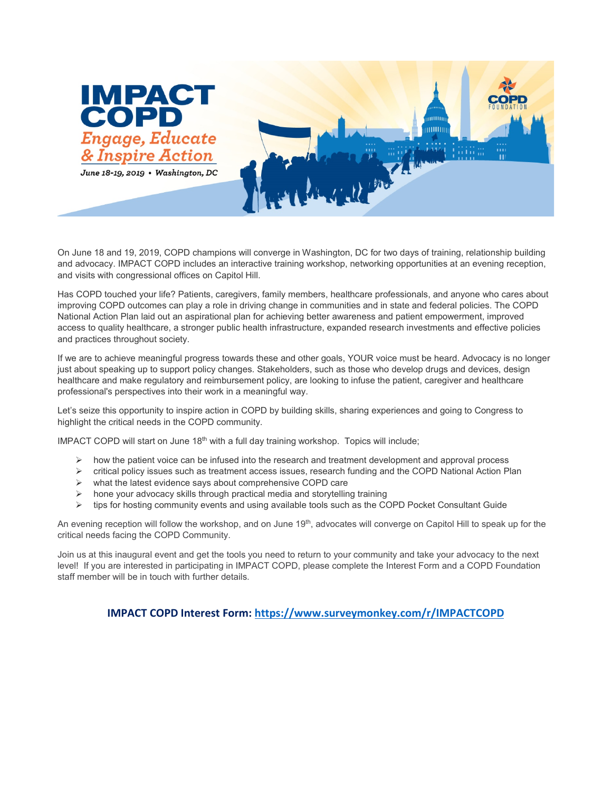

On June 18 and 19, 2019, COPD champions will converge in Washington, DC for two days of training, relationship building and advocacy. IMPACT COPD includes an interactive training workshop, networking opportunities at an evening reception, and visits with congressional offices on Capitol Hill.

Has COPD touched your life? Patients, caregivers, family members, healthcare professionals, and anyone who cares about improving COPD outcomes can play a role in driving change in communities and in state and federal policies. The COPD National Action Plan laid out an aspirational plan for achieving better awareness and patient empowerment, improved access to quality healthcare, a stronger public health infrastructure, expanded research investments and effective policies and practices throughout society.

If we are to achieve meaningful progress towards these and other goals, YOUR voice must be heard. Advocacy is no longer just about speaking up to support policy changes. Stakeholders, such as those who develop drugs and devices, design healthcare and make regulatory and reimbursement policy, are looking to infuse the patient, caregiver and healthcare professional's perspectives into their work in a meaningful way.

Let's seize this opportunity to inspire action in COPD by building skills, sharing experiences and going to Congress to highlight the critical needs in the COPD community.

IMPACT COPD will start on June  $18<sup>th</sup>$  with a full day training workshop. Topics will include;

- $\triangleright$  how the patient voice can be infused into the research and treatment development and approval process
- $\triangleright$  critical policy issues such as treatment access issues, research funding and the COPD National Action Plan
- $\triangleright$  what the latest evidence says about comprehensive COPD care
- $\triangleright$  hone your advocacy skills through practical media and storytelling training
- tips for hosting community events and using available tools such as the COPD Pocket Consultant Guide

An evening reception will follow the workshop, and on June 19<sup>th</sup>, advocates will converge on Capitol Hill to speak up for the critical needs facing the COPD Community.

Join us at this inaugural event and get the tools you need to return to your community and take your advocacy to the next level! If you are interested in participating in IMPACT COPD, please complete the Interest Form and a COPD Foundation staff member will be in touch with further details.

**IMPACT COPD Interest Form:<https://www.surveymonkey.com/r/IMPACTCOPD>**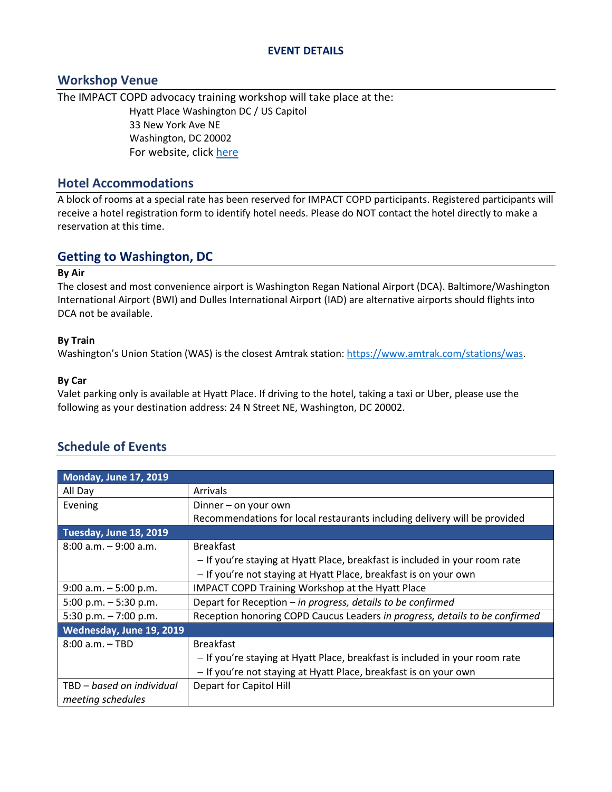#### **EVENT DETAILS**

### **Workshop Venue**

The IMPACT COPD advocacy training workshop will take place at the: Hyatt Place Washington DC / US Capitol 33 New York Ave NE Washington, DC 20002 For website, click [here](https://www.hyatt.com/en-US/hotel/washington-dc/hyatt-place-washington-dc-us-capitol/waszd?src=corp_lclb_gmb_seo_nam_waszd)

### **Hotel Accommodations**

A block of rooms at a special rate has been reserved for IMPACT COPD participants. Registered participants will receive a hotel registration form to identify hotel needs. Please do NOT contact the hotel directly to make a reservation at this time.

# **Getting to Washington, DC**

#### **By Air**

The closest and most convenience airport is Washington Regan National Airport (DCA). Baltimore/Washington International Airport (BWI) and Dulles International Airport (IAD) are alternative airports should flights into DCA not be available.

#### **By Train**

Washington's Union Station (WAS) is the closest Amtrak station: [https://www.amtrak.com/stations/was.](https://www.amtrak.com/stations/was)

#### **By Car**

Valet parking only is available at Hyatt Place. If driving to the hotel, taking a taxi or Uber, please use the following as your destination address: 24 N Street NE, Washington, DC 20002.

## **Schedule of Events**

| <b>Monday, June 17, 2019</b> |                                                                             |
|------------------------------|-----------------------------------------------------------------------------|
| All Day                      | Arrivals                                                                    |
| Evening                      | Dinner – on your own                                                        |
|                              | Recommendations for local restaurants including delivery will be provided   |
| Tuesday, June 18, 2019       |                                                                             |
| $8:00$ a.m. $-9:00$ a.m.     | <b>Breakfast</b>                                                            |
|                              | - If you're staying at Hyatt Place, breakfast is included in your room rate |
|                              | - If you're not staying at Hyatt Place, breakfast is on your own            |
| $9:00$ a.m. $-5:00$ p.m.     | <b>IMPACT COPD Training Workshop at the Hyatt Place</b>                     |
| 5:00 p.m. $-5:30$ p.m.       | Depart for Reception - in progress, details to be confirmed                 |
| 5:30 p.m. $-7:00$ p.m.       | Reception honoring COPD Caucus Leaders in progress, details to be confirmed |
| Wednesday, June 19, 2019     |                                                                             |
| $8:00$ a.m. $-$ TBD          | <b>Breakfast</b>                                                            |
|                              | - If you're staying at Hyatt Place, breakfast is included in your room rate |
|                              | - If you're not staying at Hyatt Place, breakfast is on your own            |
| TBD - based on individual    | Depart for Capitol Hill                                                     |
| meeting schedules            |                                                                             |